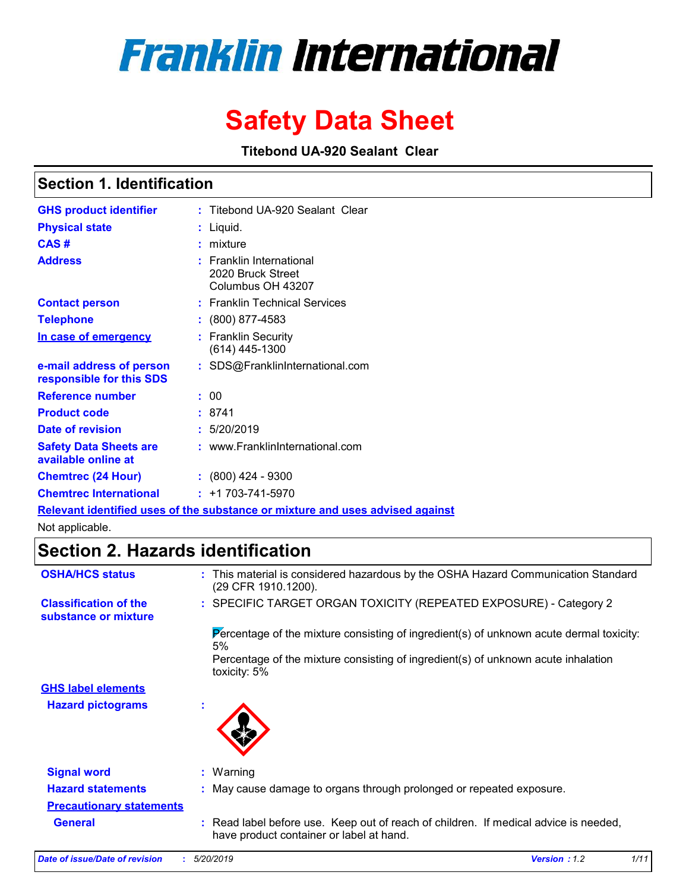# **Franklin International**

# *Safety Data Sheet*

*Titebond UA-920 Sealant Clear*

### *Section 1. Identification*

| <b>GHS product identifier</b>                        | : Titebond UA-920 Sealant Clear                                               |
|------------------------------------------------------|-------------------------------------------------------------------------------|
| <b>Physical state</b>                                | : Liquid.                                                                     |
| CAS#                                                 | $:$ mixture                                                                   |
| <b>Address</b>                                       | $:$ Franklin International<br>2020 Bruck Street<br>Columbus OH 43207          |
| <b>Contact person</b>                                | : Franklin Technical Services                                                 |
| <b>Telephone</b>                                     | : (800) 877-4583                                                              |
| In case of emergency                                 | : Franklin Security<br>$(614)$ 445-1300                                       |
| e-mail address of person<br>responsible for this SDS | : SDS@FranklinInternational.com                                               |
| <b>Reference number</b>                              | : 00                                                                          |
| <b>Product code</b>                                  | : 8741                                                                        |
| Date of revision                                     | : 5/20/2019                                                                   |
| <b>Safety Data Sheets are</b><br>available online at | : www.FranklinInternational.com                                               |
| <b>Chemtrec (24 Hour)</b>                            | $: (800)$ 424 - 9300                                                          |
| <b>Chemtrec International</b>                        | $: +1703 - 741 - 5970$                                                        |
|                                                      | Relevant identified uses of the substance or mixture and uses advised against |

Not applicable.

### *Section 2. Hazards identification*

| <b>OSHA/HCS status</b>                               | : This material is considered hazardous by the OSHA Hazard Communication Standard<br>(29 CFR 1910.1200).                         |
|------------------------------------------------------|----------------------------------------------------------------------------------------------------------------------------------|
| <b>Classification of the</b><br>substance or mixture | : SPECIFIC TARGET ORGAN TOXICITY (REPEATED EXPOSURE) - Category 2                                                                |
|                                                      | Percentage of the mixture consisting of ingredient(s) of unknown acute dermal toxicity:<br>5%                                    |
|                                                      | Percentage of the mixture consisting of ingredient(s) of unknown acute inhalation<br>toxicity: 5%                                |
| <b>GHS label elements</b>                            |                                                                                                                                  |
| <b>Hazard pictograms</b>                             | ×.                                                                                                                               |
| <b>Signal word</b>                                   | $:$ Warning                                                                                                                      |
| <b>Hazard statements</b>                             | : May cause damage to organs through prolonged or repeated exposure.                                                             |
| <b>Precautionary statements</b>                      |                                                                                                                                  |
| <b>General</b>                                       | : Read label before use. Keep out of reach of children. If medical advice is needed,<br>have product container or label at hand. |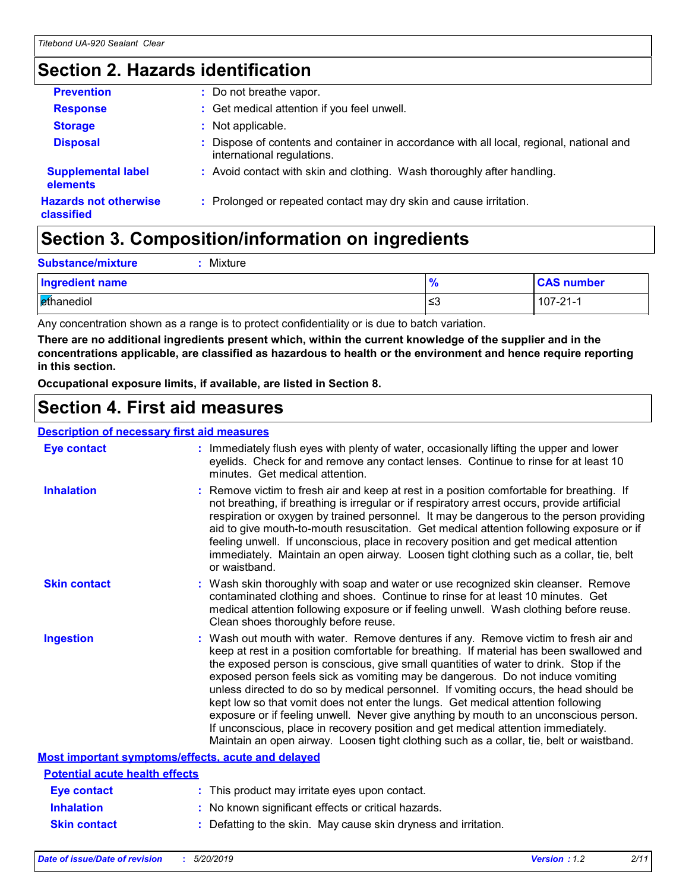### *Section 2. Hazards identification*

| <b>Prevention</b>                          | : Do not breathe vapor.                                                                                                |
|--------------------------------------------|------------------------------------------------------------------------------------------------------------------------|
| <b>Response</b>                            | : Get medical attention if you feel unwell.                                                                            |
| <b>Storage</b>                             | : Not applicable.                                                                                                      |
| <b>Disposal</b>                            | : Dispose of contents and container in accordance with all local, regional, national and<br>international regulations. |
| <b>Supplemental label</b><br>elements      | : Avoid contact with skin and clothing. Wash thoroughly after handling.                                                |
| <b>Hazards not otherwise</b><br>classified | : Prolonged or repeated contact may dry skin and cause irritation.                                                     |

### *Section 3. Composition/information on ingredients*

| <b>Substance/mixture</b><br>Mixture |               |                   |
|-------------------------------------|---------------|-------------------|
| Ingredient name                     | $\frac{9}{6}$ | <b>CAS number</b> |
| <b>E</b> thanediol                  | ≲3            | $107 - 21 - 1$    |

Any concentration shown as a range is to protect confidentiality or is due to batch variation.

*There are no additional ingredients present which, within the current knowledge of the supplier and in the concentrations applicable, are classified as hazardous to health or the environment and hence require reporting in this section.*

*Occupational exposure limits, if available, are listed in Section 8.*

### *Section 4. First aid measures*

#### *Description of necessary first aid measures*

| <b>Eye contact</b>                                        | : Immediately flush eyes with plenty of water, occasionally lifting the upper and lower<br>eyelids. Check for and remove any contact lenses. Continue to rinse for at least 10<br>minutes. Get medical attention.                                                                                                                                                                                                                                                                                                                                                                                                                                                                                                                                                                                                 |
|-----------------------------------------------------------|-------------------------------------------------------------------------------------------------------------------------------------------------------------------------------------------------------------------------------------------------------------------------------------------------------------------------------------------------------------------------------------------------------------------------------------------------------------------------------------------------------------------------------------------------------------------------------------------------------------------------------------------------------------------------------------------------------------------------------------------------------------------------------------------------------------------|
| <b>Inhalation</b>                                         | : Remove victim to fresh air and keep at rest in a position comfortable for breathing. If<br>not breathing, if breathing is irregular or if respiratory arrest occurs, provide artificial<br>respiration or oxygen by trained personnel. It may be dangerous to the person providing<br>aid to give mouth-to-mouth resuscitation. Get medical attention following exposure or if<br>feeling unwell. If unconscious, place in recovery position and get medical attention<br>immediately. Maintain an open airway. Loosen tight clothing such as a collar, tie, belt<br>or waistband.                                                                                                                                                                                                                              |
| <b>Skin contact</b>                                       | : Wash skin thoroughly with soap and water or use recognized skin cleanser. Remove<br>contaminated clothing and shoes. Continue to rinse for at least 10 minutes. Get<br>medical attention following exposure or if feeling unwell. Wash clothing before reuse.<br>Clean shoes thoroughly before reuse.                                                                                                                                                                                                                                                                                                                                                                                                                                                                                                           |
| <b>Ingestion</b>                                          | : Wash out mouth with water. Remove dentures if any. Remove victim to fresh air and<br>keep at rest in a position comfortable for breathing. If material has been swallowed and<br>the exposed person is conscious, give small quantities of water to drink. Stop if the<br>exposed person feels sick as vomiting may be dangerous. Do not induce vomiting<br>unless directed to do so by medical personnel. If vomiting occurs, the head should be<br>kept low so that vomit does not enter the lungs. Get medical attention following<br>exposure or if feeling unwell. Never give anything by mouth to an unconscious person.<br>If unconscious, place in recovery position and get medical attention immediately.<br>Maintain an open airway. Loosen tight clothing such as a collar, tie, belt or waistband. |
| <b>Most important symptoms/effects, acute and delayed</b> |                                                                                                                                                                                                                                                                                                                                                                                                                                                                                                                                                                                                                                                                                                                                                                                                                   |
| <b>Potential acute health effects</b>                     |                                                                                                                                                                                                                                                                                                                                                                                                                                                                                                                                                                                                                                                                                                                                                                                                                   |
| <b>Eye contact</b>                                        | : This product may irritate eyes upon contact.                                                                                                                                                                                                                                                                                                                                                                                                                                                                                                                                                                                                                                                                                                                                                                    |
| <b>Inhalation</b>                                         | : No known significant effects or critical hazards.                                                                                                                                                                                                                                                                                                                                                                                                                                                                                                                                                                                                                                                                                                                                                               |
| <b>Skin contact</b>                                       | : Defatting to the skin. May cause skin dryness and irritation.                                                                                                                                                                                                                                                                                                                                                                                                                                                                                                                                                                                                                                                                                                                                                   |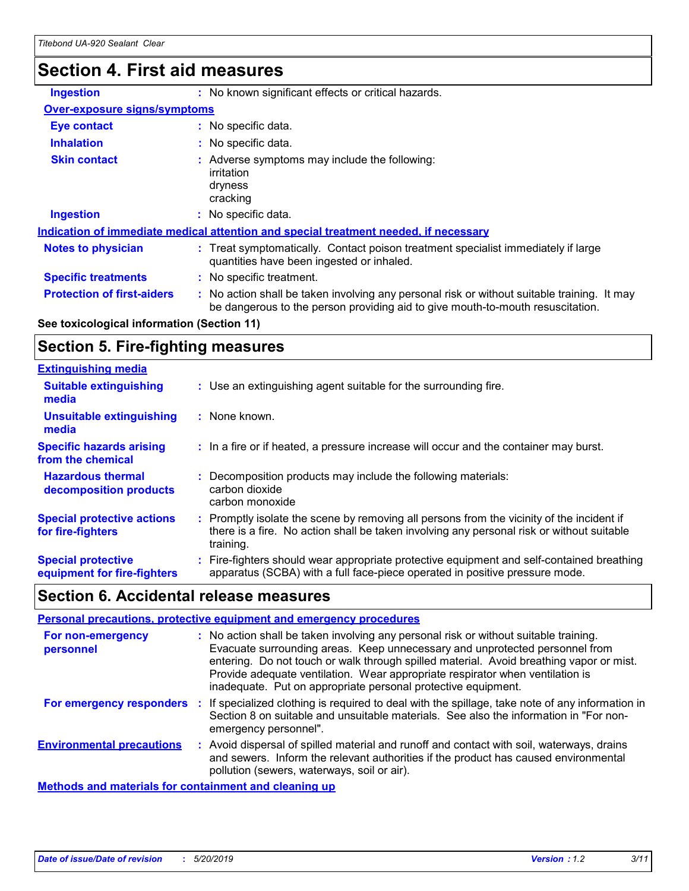### *Section 4. First aid measures*

| <b>Ingestion</b>                                                                            | : No known significant effects or critical hazards.                                                                                                                           |  |
|---------------------------------------------------------------------------------------------|-------------------------------------------------------------------------------------------------------------------------------------------------------------------------------|--|
| <b>Over-exposure signs/symptoms</b>                                                         |                                                                                                                                                                               |  |
| <b>Eye contact</b>                                                                          | : No specific data.                                                                                                                                                           |  |
| <b>Inhalation</b>                                                                           | : No specific data.                                                                                                                                                           |  |
| <b>Skin contact</b>                                                                         | : Adverse symptoms may include the following:<br>irritation<br>dryness<br>cracking                                                                                            |  |
| <b>Ingestion</b>                                                                            | : No specific data.                                                                                                                                                           |  |
| <u>Indication of immediate medical attention and special treatment needed, if necessary</u> |                                                                                                                                                                               |  |
| <b>Notes to physician</b>                                                                   | : Treat symptomatically. Contact poison treatment specialist immediately if large<br>quantities have been ingested or inhaled.                                                |  |
| <b>Specific treatments</b>                                                                  | : No specific treatment.                                                                                                                                                      |  |
| <b>Protection of first-aiders</b>                                                           | : No action shall be taken involving any personal risk or without suitable training. It may<br>be dangerous to the person providing aid to give mouth-to-mouth resuscitation. |  |

#### *See toxicological information (Section 11)*

### *Section 5. Fire-fighting measures*

| <b>Extinguishing media</b>                               |                                                                                                                                                                                                     |
|----------------------------------------------------------|-----------------------------------------------------------------------------------------------------------------------------------------------------------------------------------------------------|
| <b>Suitable extinguishing</b><br>media                   | : Use an extinguishing agent suitable for the surrounding fire.                                                                                                                                     |
| <b>Unsuitable extinguishing</b><br>media                 | : None known.                                                                                                                                                                                       |
| <b>Specific hazards arising</b><br>from the chemical     | : In a fire or if heated, a pressure increase will occur and the container may burst.                                                                                                               |
| <b>Hazardous thermal</b><br>decomposition products       | Decomposition products may include the following materials:<br>carbon dioxide<br>carbon monoxide                                                                                                    |
| <b>Special protective actions</b><br>for fire-fighters   | : Promptly isolate the scene by removing all persons from the vicinity of the incident if<br>there is a fire. No action shall be taken involving any personal risk or without suitable<br>training. |
| <b>Special protective</b><br>equipment for fire-fighters | Fire-fighters should wear appropriate protective equipment and self-contained breathing<br>apparatus (SCBA) with a full face-piece operated in positive pressure mode.                              |

### *Section 6. Accidental release measures*

| Personal precautions, protective equipment and emergency procedures |  |                                                                                                                                                                                                                                                                                                                                                                                                                  |
|---------------------------------------------------------------------|--|------------------------------------------------------------------------------------------------------------------------------------------------------------------------------------------------------------------------------------------------------------------------------------------------------------------------------------------------------------------------------------------------------------------|
| For non-emergency<br>personnel                                      |  | : No action shall be taken involving any personal risk or without suitable training.<br>Evacuate surrounding areas. Keep unnecessary and unprotected personnel from<br>entering. Do not touch or walk through spilled material. Avoid breathing vapor or mist.<br>Provide adequate ventilation. Wear appropriate respirator when ventilation is<br>inadequate. Put on appropriate personal protective equipment. |
| For emergency responders :                                          |  | If specialized clothing is required to deal with the spillage, take note of any information in<br>Section 8 on suitable and unsuitable materials. See also the information in "For non-<br>emergency personnel".                                                                                                                                                                                                 |
| <b>Environmental precautions</b>                                    |  | : Avoid dispersal of spilled material and runoff and contact with soil, waterways, drains<br>and sewers. Inform the relevant authorities if the product has caused environmental<br>pollution (sewers, waterways, soil or air).                                                                                                                                                                                  |
| <b>Methods and materials for containment and cleaning up</b>        |  |                                                                                                                                                                                                                                                                                                                                                                                                                  |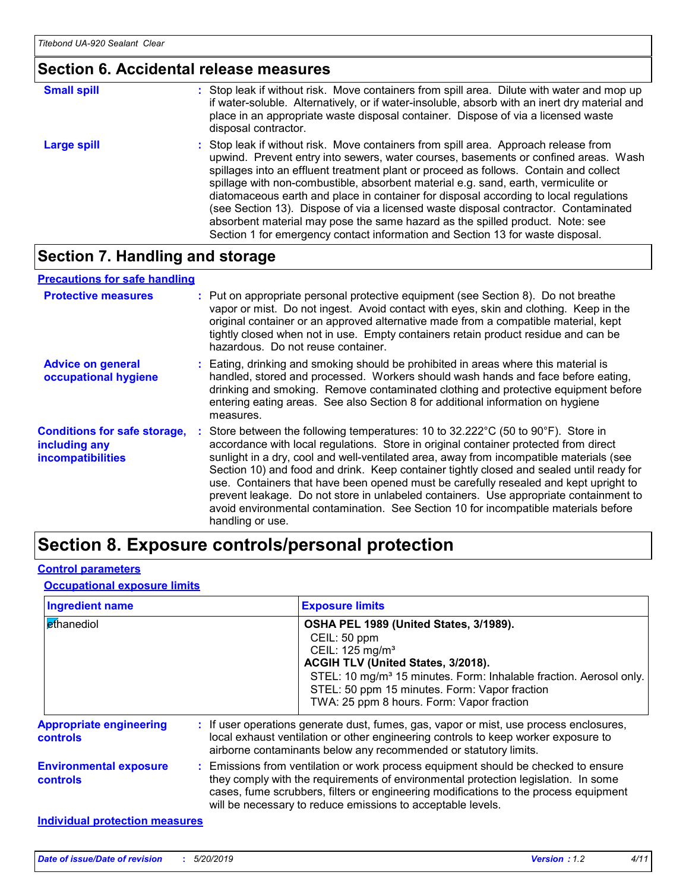#### *Section 6. Accidental release measures*

| <b>Small spill</b> | : Stop leak if without risk. Move containers from spill area. Dilute with water and mop up<br>if water-soluble. Alternatively, or if water-insoluble, absorb with an inert dry material and<br>place in an appropriate waste disposal container. Dispose of via a licensed waste<br>disposal contractor.                                                                                                                                                                                                                                                                                                                                                                                                     |
|--------------------|--------------------------------------------------------------------------------------------------------------------------------------------------------------------------------------------------------------------------------------------------------------------------------------------------------------------------------------------------------------------------------------------------------------------------------------------------------------------------------------------------------------------------------------------------------------------------------------------------------------------------------------------------------------------------------------------------------------|
| Large spill        | : Stop leak if without risk. Move containers from spill area. Approach release from<br>upwind. Prevent entry into sewers, water courses, basements or confined areas. Wash<br>spillages into an effluent treatment plant or proceed as follows. Contain and collect<br>spillage with non-combustible, absorbent material e.g. sand, earth, vermiculite or<br>diatomaceous earth and place in container for disposal according to local regulations<br>(see Section 13). Dispose of via a licensed waste disposal contractor. Contaminated<br>absorbent material may pose the same hazard as the spilled product. Note: see<br>Section 1 for emergency contact information and Section 13 for waste disposal. |

### *Section 7. Handling and storage*

#### *Advice on general occupational hygiene Conditions for safe storage, including any incompatibilities* Eating, drinking and smoking should be prohibited in areas where this material is *:* handled, stored and processed. Workers should wash hands and face before eating, drinking and smoking. Remove contaminated clothing and protective equipment before entering eating areas. See also Section 8 for additional information on hygiene measures. Store between the following temperatures: 10 to 32.222°C (50 to 90°F). Store in *:* accordance with local regulations. Store in original container protected from direct sunlight in a dry, cool and well-ventilated area, away from incompatible materials (see Section 10) and food and drink. Keep container tightly closed and sealed until ready for use. Containers that have been opened must be carefully resealed and kept upright to prevent leakage. Do not store in unlabeled containers. Use appropriate containment to avoid environmental contamination. See Section 10 for incompatible materials before handling or use. **Protective measures** : Put on appropriate personal protective equipment (see Section 8). Do not breathe intervals vapor or mist. Do not ingest. Avoid contact with eyes, skin and clothing. Keep in the original container or an approved alternative made from a compatible material, kept tightly closed when not in use. Empty containers retain product residue and can be hazardous. Do not reuse container. *Precautions for safe handling*

### *Section 8. Exposure controls/personal protection*

#### *Control parameters*

#### *Occupational exposure limits*

| <b>Ingredient name</b>                     | <b>Exposure limits</b>                                                                                                                                                                                                                                                                                                          |
|--------------------------------------------|---------------------------------------------------------------------------------------------------------------------------------------------------------------------------------------------------------------------------------------------------------------------------------------------------------------------------------|
| ethanediol                                 | OSHA PEL 1989 (United States, 3/1989).<br>CEIL: 50 ppm<br>CEIL: 125 mg/m <sup>3</sup><br>ACGIH TLV (United States, 3/2018).<br>STEL: 10 mg/m <sup>3</sup> 15 minutes. Form: Inhalable fraction. Aerosol only.<br>STEL: 50 ppm 15 minutes. Form: Vapor fraction<br>TWA: 25 ppm 8 hours. Form: Vapor fraction                     |
| <b>Appropriate engineering</b><br>controls | : If user operations generate dust, fumes, gas, vapor or mist, use process enclosures,<br>local exhaust ventilation or other engineering controls to keep worker exposure to<br>airborne contaminants below any recommended or statutory limits.                                                                                |
| <b>Environmental exposure</b><br>controls  | : Emissions from ventilation or work process equipment should be checked to ensure<br>they comply with the requirements of environmental protection legislation. In some<br>cases, fume scrubbers, filters or engineering modifications to the process equipment<br>will be necessary to reduce emissions to acceptable levels. |
| <b>Individual protection measures</b>      |                                                                                                                                                                                                                                                                                                                                 |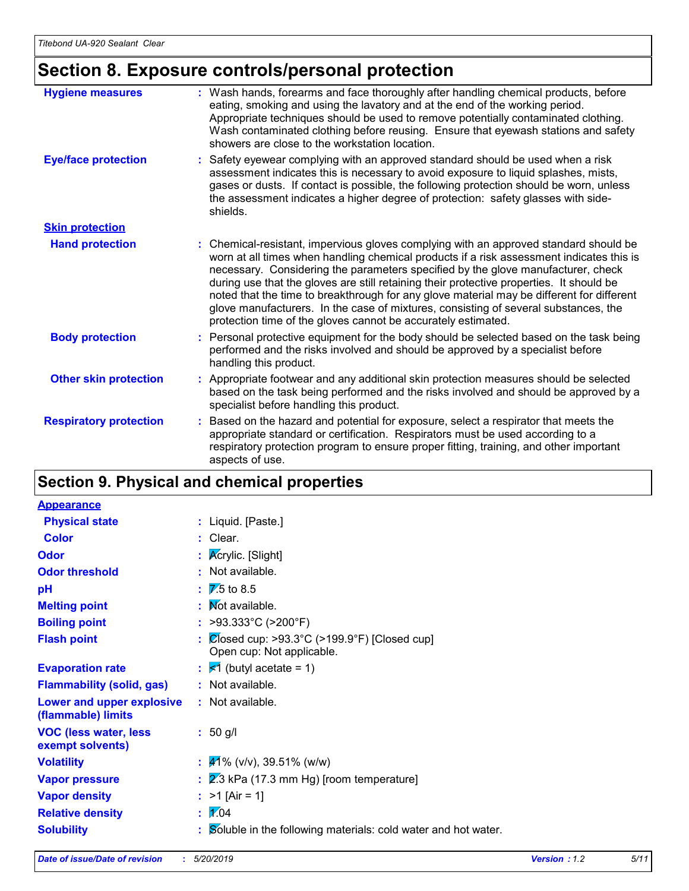## *Section 8. Exposure controls/personal protection*

| <b>Hygiene measures</b>       | : Wash hands, forearms and face thoroughly after handling chemical products, before<br>eating, smoking and using the lavatory and at the end of the working period.<br>Appropriate techniques should be used to remove potentially contaminated clothing.<br>Wash contaminated clothing before reusing. Ensure that eyewash stations and safety<br>showers are close to the workstation location.                                                                                                                                                                                                                      |
|-------------------------------|------------------------------------------------------------------------------------------------------------------------------------------------------------------------------------------------------------------------------------------------------------------------------------------------------------------------------------------------------------------------------------------------------------------------------------------------------------------------------------------------------------------------------------------------------------------------------------------------------------------------|
| <b>Eye/face protection</b>    | : Safety eyewear complying with an approved standard should be used when a risk<br>assessment indicates this is necessary to avoid exposure to liquid splashes, mists,<br>gases or dusts. If contact is possible, the following protection should be worn, unless<br>the assessment indicates a higher degree of protection: safety glasses with side-<br>shields.                                                                                                                                                                                                                                                     |
| <b>Skin protection</b>        |                                                                                                                                                                                                                                                                                                                                                                                                                                                                                                                                                                                                                        |
| <b>Hand protection</b>        | : Chemical-resistant, impervious gloves complying with an approved standard should be<br>worn at all times when handling chemical products if a risk assessment indicates this is<br>necessary. Considering the parameters specified by the glove manufacturer, check<br>during use that the gloves are still retaining their protective properties. It should be<br>noted that the time to breakthrough for any glove material may be different for different<br>glove manufacturers. In the case of mixtures, consisting of several substances, the<br>protection time of the gloves cannot be accurately estimated. |
| <b>Body protection</b>        | : Personal protective equipment for the body should be selected based on the task being<br>performed and the risks involved and should be approved by a specialist before<br>handling this product.                                                                                                                                                                                                                                                                                                                                                                                                                    |
| <b>Other skin protection</b>  | : Appropriate footwear and any additional skin protection measures should be selected<br>based on the task being performed and the risks involved and should be approved by a<br>specialist before handling this product.                                                                                                                                                                                                                                                                                                                                                                                              |
| <b>Respiratory protection</b> | : Based on the hazard and potential for exposure, select a respirator that meets the<br>appropriate standard or certification. Respirators must be used according to a<br>respiratory protection program to ensure proper fitting, training, and other important<br>aspects of use.                                                                                                                                                                                                                                                                                                                                    |

### *Section 9. Physical and chemical properties*

| <b>Appearance</b>                                |                                                                                                  |
|--------------------------------------------------|--------------------------------------------------------------------------------------------------|
| <b>Physical state</b>                            | : Liquid. [Paste.]                                                                               |
| <b>Color</b>                                     | : Clear.                                                                                         |
| <b>Odor</b>                                      | : $K$ crylic. [Slight]                                                                           |
| <b>Odor threshold</b>                            | : Not available.                                                                                 |
| pH                                               | $\frac{1}{2}$ 7.5 to 8.5                                                                         |
| <b>Melting point</b>                             | : Mot available.                                                                                 |
| <b>Boiling point</b>                             | : >93.333°C (>200°F)                                                                             |
| <b>Flash point</b>                               | $\therefore$ $\heartsuit$ osed cup: >93.3°C (>199.9°F) [Closed cup]<br>Open cup: Not applicable. |
| <b>Evaporation rate</b>                          | $\mathbf{z}$ $\leq 1$ (butyl acetate = 1)                                                        |
| <b>Flammability (solid, gas)</b>                 | : Not available.                                                                                 |
| Lower and upper explosive<br>(flammable) limits  | : Not available.                                                                                 |
| <b>VOC (less water, less</b><br>exempt solvents) | $: 50$ g/l                                                                                       |
| <b>Volatility</b>                                | $\frac{1}{41\%}$ (v/v), 39.51% (w/w)                                                             |
| <b>Vapor pressure</b>                            | $\frac{1}{2}$ & Fa (17.3 mm Hg) [room temperature]                                               |
| <b>Vapor density</b>                             | : $>1$ [Air = 1]                                                                                 |
| <b>Relative density</b>                          | $\mathbb{Z}^{04}$                                                                                |
| <b>Solubility</b>                                | : Soluble in the following materials: cold water and hot water.                                  |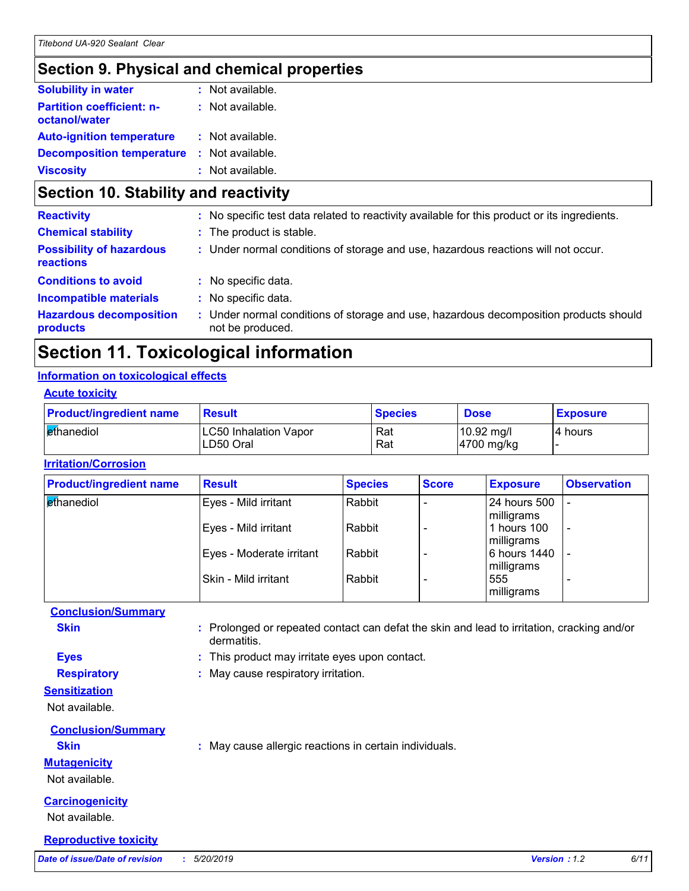### *Section 9. Physical and chemical properties*

| <b>Solubility in water</b>                        | $:$ Not available. |
|---------------------------------------------------|--------------------|
| <b>Partition coefficient: n-</b><br>octanol/water | : Not available.   |
| <b>Auto-ignition temperature</b>                  | : Not available.   |
| <b>Decomposition temperature</b>                  | : Not available.   |
| <b>Viscosity</b>                                  | : Not available.   |

### *Section 10. Stability and reactivity*

| : No specific test data related to reactivity available for this product or its ingredients.              |
|-----------------------------------------------------------------------------------------------------------|
| : The product is stable.                                                                                  |
| : Under normal conditions of storage and use, hazardous reactions will not occur.                         |
| : No specific data.                                                                                       |
| : No specific data.                                                                                       |
| : Under normal conditions of storage and use, hazardous decomposition products should<br>not be produced. |
|                                                                                                           |

### *Section 11. Toxicological information*

#### *Information on toxicological effects*

| <b>Acute toxicity</b> |  |  |  |
|-----------------------|--|--|--|
|-----------------------|--|--|--|

| <b>Product/ingredient name</b> | <b>Result</b>                      | <b>Species</b> | <b>Dose</b>                        | <b>Exposure</b> |
|--------------------------------|------------------------------------|----------------|------------------------------------|-----------------|
| I ethanediol                   | LC50 Inhalation Vapor<br>LD50 Oral | Rat<br>Rat     | $10.92 \text{ mg/l}$<br>4700 mg/kg | 14 hours        |

#### *Irritation/Corrosion*

| <b>Product/ingredient name</b>  | <b>Result</b>            | <b>Species</b> | <b>Score</b> | <b>Exposure</b> | <b>Observation</b>       |
|---------------------------------|--------------------------|----------------|--------------|-----------------|--------------------------|
| <b><i><u>et</u>hanediol</i></b> | Eyes - Mild irritant     | Rabbit         |              | 24 hours 500    |                          |
|                                 |                          |                |              | milligrams      |                          |
|                                 | Eyes - Mild irritant     | Rabbit         |              | 1 hours 100     | $\overline{\phantom{a}}$ |
|                                 |                          |                |              | milligrams      |                          |
|                                 | Eyes - Moderate irritant | Rabbit         |              | 6 hours 1440    | $\overline{\phantom{0}}$ |
|                                 |                          |                |              | milligrams      |                          |
|                                 | Skin - Mild irritant     | Rabbit         |              | 555             | $\overline{\phantom{0}}$ |
|                                 |                          |                |              | milligrams      |                          |

| <b>Conclusion/Summary</b> |                                                                                                           |  |
|---------------------------|-----------------------------------------------------------------------------------------------------------|--|
| <b>Skin</b>               | : Prolonged or repeated contact can defat the skin and lead to irritation, cracking and/or<br>dermatitis. |  |
| <b>Eyes</b>               | : This product may irritate eyes upon contact.                                                            |  |
| <b>Respiratory</b>        | : May cause respiratory irritation.                                                                       |  |
| <b>Sensitization</b>      |                                                                                                           |  |
| Not available.            |                                                                                                           |  |
| <b>Conclusion/Summary</b> |                                                                                                           |  |
| <b>Skin</b>               | : May cause allergic reactions in certain individuals.                                                    |  |

#### *Mutagenicity*

Not available.

#### *Carcinogenicity*

Not available.

#### *Reproductive toxicity*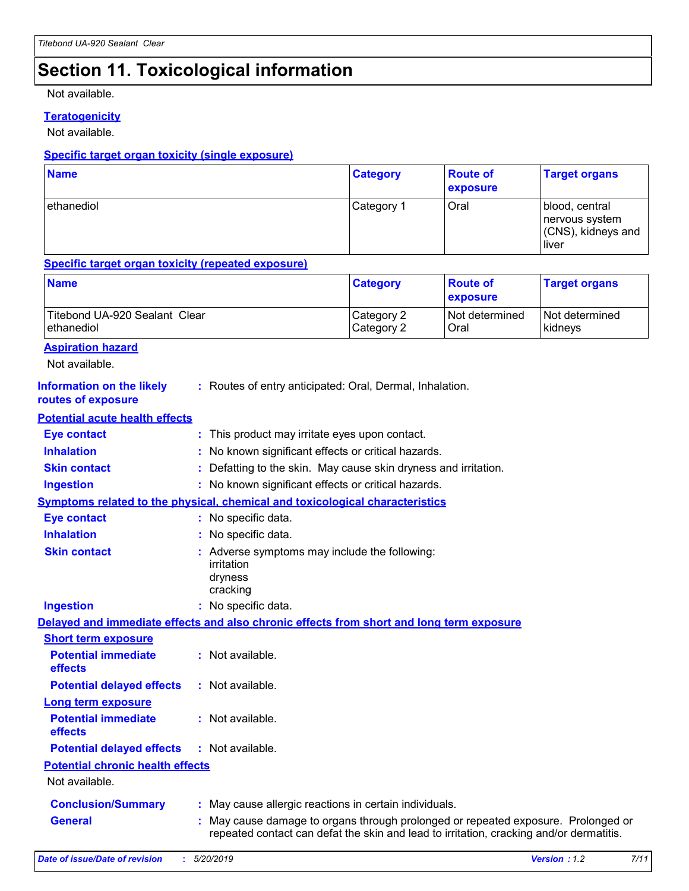### *Section 11. Toxicological information*

Not available.

#### *Teratogenicity*

Not available.

#### *Specific target organ toxicity (single exposure)*

| <b>Name</b> | <b>Category</b> | <b>Route of</b><br>exposure | <b>Target organs</b>                                            |
|-------------|-----------------|-----------------------------|-----------------------------------------------------------------|
| ethanediol  | Category 1      | Oral                        | blood, central<br>nervous system<br>(CNS), kidneys and<br>liver |

#### *Specific target organ toxicity (repeated exposure)*

| <b>Name</b>                   | <b>Category</b> | <b>Route of</b><br><b>exposure</b> | <b>Target organs</b> |
|-------------------------------|-----------------|------------------------------------|----------------------|
| Titebond UA-920 Sealant Clear | Category 2      | Not determined                     | Not determined       |
| ethanediol                    | Category 2      | Oral                               | kidneys              |

#### *Aspiration hazard*

Not available.

| Information on the likely | : Routes of entry anticipated: Oral, Dermal, Inhalation. |
|---------------------------|----------------------------------------------------------|
| routes of exposure        |                                                          |

#### *Potential acute health effects*

| <b>Eye contact</b>                      | : This product may irritate eyes upon contact.                                                                                                                               |
|-----------------------------------------|------------------------------------------------------------------------------------------------------------------------------------------------------------------------------|
| <b>Inhalation</b>                       | : No known significant effects or critical hazards.                                                                                                                          |
| <b>Skin contact</b>                     | Defatting to the skin. May cause skin dryness and irritation.                                                                                                                |
| <b>Ingestion</b>                        | : No known significant effects or critical hazards.                                                                                                                          |
|                                         | Symptoms related to the physical, chemical and toxicological characteristics                                                                                                 |
| <b>Eye contact</b>                      | : No specific data.                                                                                                                                                          |
| <b>Inhalation</b>                       | : No specific data.                                                                                                                                                          |
| <b>Skin contact</b>                     | : Adverse symptoms may include the following:<br>irritation<br>dryness<br>cracking                                                                                           |
| <b>Ingestion</b>                        | : No specific data.                                                                                                                                                          |
|                                         | Delayed and immediate effects and also chronic effects from short and long term exposure                                                                                     |
| <b>Short term exposure</b>              |                                                                                                                                                                              |
| <b>Potential immediate</b><br>effects   | : Not available.                                                                                                                                                             |
| <b>Potential delayed effects</b>        | : Not available.                                                                                                                                                             |
| <b>Long term exposure</b>               |                                                                                                                                                                              |
| <b>Potential immediate</b><br>effects   | : Not available.                                                                                                                                                             |
| <b>Potential delayed effects</b>        | : Not available.                                                                                                                                                             |
| <b>Potential chronic health effects</b> |                                                                                                                                                                              |
| Not available.                          |                                                                                                                                                                              |
| <b>Conclusion/Summary</b>               | : May cause allergic reactions in certain individuals.                                                                                                                       |
| <b>General</b>                          | : May cause damage to organs through prolonged or repeated exposure. Prolonged or<br>repeated contact can defat the skin and lead to irritation, cracking and/or dermatitis. |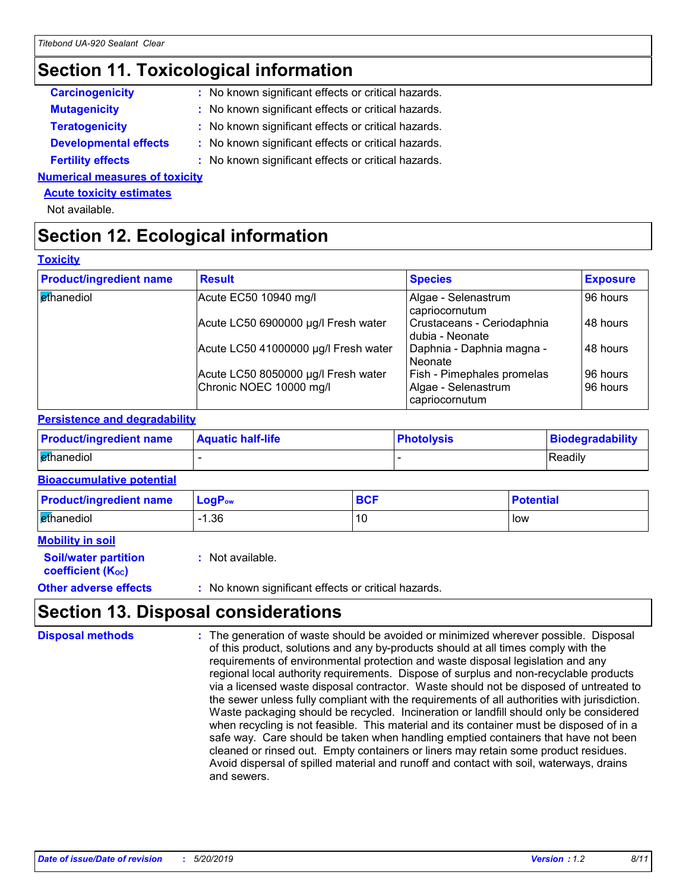### *Section 11. Toxicological information*

| <b>Carcinogenicity</b> | : No known significant effects or critical hazards. |
|------------------------|-----------------------------------------------------|
| <b>Mutagenicity</b>    | : No known significant effects or critical hazards. |

- **Teratogenicity** *iii*  $\blacksquare$  **:** No known significant effects or critical hazards.
- *Developmental effects :* No known significant effects or critical hazards.
- **Fertility effects** *iii*  $\blacksquare$  **:** No known significant effects or critical hazards.

#### *Numerical measures of toxicity*

#### *Acute toxicity estimates*

Not available.

### *Section 12. Ecological information*

#### *Toxicity*

| <b>Product/ingredient name</b>  | <b>Result</b>                        | <b>Species</b>                                | <b>Exposure</b> |
|---------------------------------|--------------------------------------|-----------------------------------------------|-----------------|
| <b><i><u>et</u>hanediol</i></b> | Acute EC50 10940 mg/l                | Algae - Selenastrum<br>capriocornutum         | 96 hours        |
|                                 | Acute LC50 6900000 µg/l Fresh water  | Crustaceans - Ceriodaphnia<br>dubia - Neonate | 48 hours        |
|                                 | Acute LC50 41000000 µg/l Fresh water | Daphnia - Daphnia magna -<br>l Neonate        | 48 hours        |
|                                 | Acute LC50 8050000 µg/l Fresh water  | Fish - Pimephales promelas                    | 96 hours        |
|                                 | Chronic NOEC 10000 mg/l              | Algae - Selenastrum<br>capriocornutum         | 96 hours        |

#### *Persistence and degradability*

| <b>Product/ingredient name</b> | <b>Aquatic half-life</b> | <b>Photolysis</b> | Biodegradability |
|--------------------------------|--------------------------|-------------------|------------------|
| ethanediol                     |                          |                   | Readily          |

#### *Bioaccumulative potential*

| <b>Product/ingredient name</b> | $\mathsf{LogP}_\mathsf{ow}$ | <b>DAC</b> | <b>Potential</b> |
|--------------------------------|-----------------------------|------------|------------------|
| ethanediol                     | 1.36                        |            | low              |

|  |  | <b>Mobility in soil</b> |
|--|--|-------------------------|
|  |  |                         |

*coefficient (KOC)*

*Soil/water partition :* Not available.

**Other adverse effects** : No known significant effects or critical hazards.

### *Section 13. Disposal considerations*

The generation of waste should be avoided or minimized wherever possible. Disposal of this product, solutions and any by-products should at all times comply with the requirements of environmental protection and waste disposal legislation and any regional local authority requirements. Dispose of surplus and non-recyclable products via a licensed waste disposal contractor. Waste should not be disposed of untreated to the sewer unless fully compliant with the requirements of all authorities with jurisdiction. Waste packaging should be recycled. Incineration or landfill should only be considered when recycling is not feasible. This material and its container must be disposed of in a safe way. Care should be taken when handling emptied containers that have not been cleaned or rinsed out. Empty containers or liners may retain some product residues. Avoid dispersal of spilled material and runoff and contact with soil, waterways, drains and sewers. *Disposal methods :*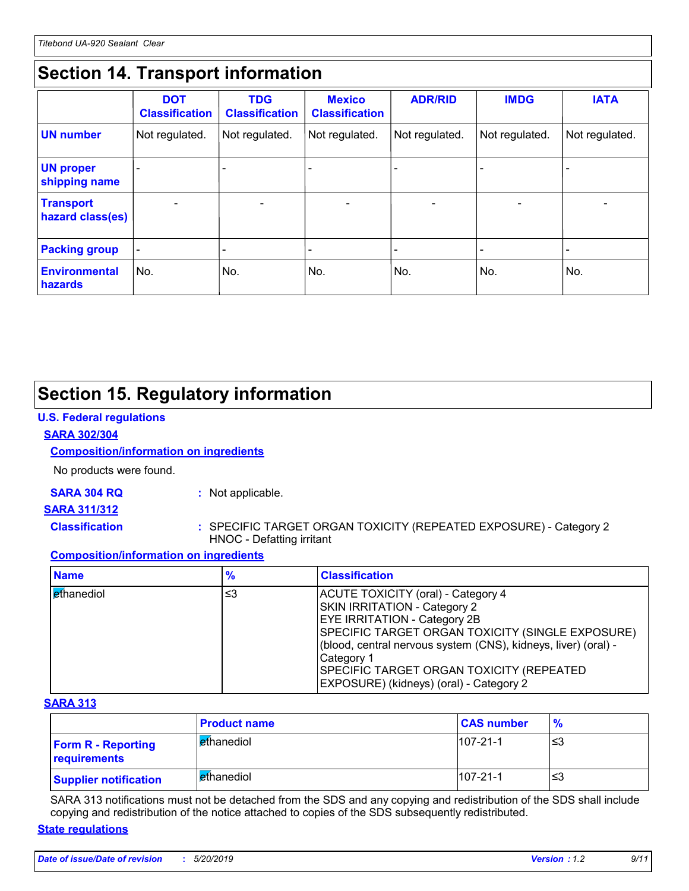### *Section 14. Transport information*

|                                      | <b>DOT</b><br><b>Classification</b> | <b>TDG</b><br><b>Classification</b> | <b>Mexico</b><br><b>Classification</b> | <b>ADR/RID</b>           | <b>IMDG</b>              | <b>IATA</b>              |
|--------------------------------------|-------------------------------------|-------------------------------------|----------------------------------------|--------------------------|--------------------------|--------------------------|
| <b>UN</b> number                     | Not regulated.                      | Not regulated.                      | Not regulated.                         | Not regulated.           | Not regulated.           | Not regulated.           |
| <b>UN proper</b><br>shipping name    |                                     |                                     |                                        |                          |                          |                          |
| <b>Transport</b><br>hazard class(es) |                                     | $\overline{\phantom{0}}$            |                                        | $\overline{\phantom{0}}$ | $\overline{\phantom{0}}$ | $\overline{\phantom{0}}$ |
| <b>Packing group</b>                 | $\overline{\phantom{a}}$            |                                     |                                        |                          |                          |                          |
| <b>Environmental</b><br>hazards      | No.                                 | No.                                 | No.                                    | No.                      | No.                      | No.                      |

### *Section 15. Regulatory information*

#### *U.S. Federal regulations*

#### *SARA 302/304*

#### *Composition/information on ingredients*

No products were found.

#### *SARA 304 RQ :* Not applicable.

#### *SARA 311/312*

*Classification :* SPECIFIC TARGET ORGAN TOXICITY (REPEATED EXPOSURE) - Category 2 HNOC - Defatting irritant

#### *Composition/information on ingredients*

| <b>Name</b> | %  | <b>Classification</b>                                                                                                                                                                                                                                                                                                                        |
|-------------|----|----------------------------------------------------------------------------------------------------------------------------------------------------------------------------------------------------------------------------------------------------------------------------------------------------------------------------------------------|
| ethanediol  | ≤3 | ACUTE TOXICITY (oral) - Category 4<br>SKIN IRRITATION - Category 2<br><b>EYE IRRITATION - Category 2B</b><br>SPECIFIC TARGET ORGAN TOXICITY (SINGLE EXPOSURE)<br>(blood, central nervous system (CNS), kidneys, liver) (oral) -<br>Category 1<br><b>SPECIFIC TARGET ORGAN TOXICITY (REPEATED)</b><br>EXPOSURE) (kidneys) (oral) - Category 2 |

#### *SARA 313*

|                                           | <b>Product name</b>        | <b>CAS number</b> | $\frac{9}{6}$ |
|-------------------------------------------|----------------------------|-------------------|---------------|
| <b>Form R - Reporting</b><br>requirements | ethanediol                 | $107 - 21 - 1$    | ≤3            |
| <b>Supplier notification</b>              | l <mark>e</mark> thanediol | $107 - 21 - 1$    | ≤3            |

SARA 313 notifications must not be detached from the SDS and any copying and redistribution of the SDS shall include copying and redistribution of the notice attached to copies of the SDS subsequently redistributed.

#### *State regulations*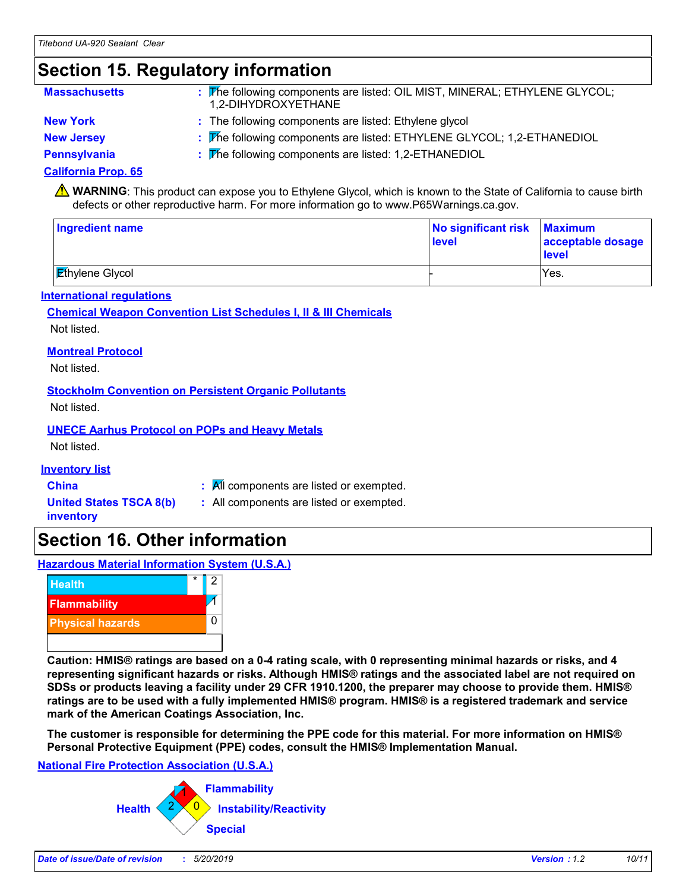### *Section 15. Regulatory information*

| <b>Massachusetts</b> | The following components are listed: OIL MIST, MINERAL; ETHYLENE GLYCOL;<br>1.2-DIHYDROXYETHANE |
|----------------------|-------------------------------------------------------------------------------------------------|
| <b>New York</b>      | : The following components are listed: Ethylene glycol                                          |
| <b>New Jersey</b>    | The following components are listed: ETHYLENE GLYCOL; 1,2-ETHANEDIOL                            |

*Pennsylvania :* The following components are listed: 1,2-ETHANEDIOL

#### *California Prop. 65*

**A** WARNING: This product can expose you to Ethylene Glycol, which is known to the State of California to cause birth defects or other reproductive harm. For more information go to www.P65Warnings.ca.gov.

| <b>Ingredient name</b> | No significant risk Maximum<br>level | acceptable dosage<br>level |
|------------------------|--------------------------------------|----------------------------|
| <b>Ethylene Glycol</b> |                                      | Yes.                       |

#### *International regulations*

#### *Chemical Weapon Convention List Schedules I, II & III Chemicals* Not listed.

#### *Montreal Protocol*

Not listed.

#### *Stockholm Convention on Persistent Organic Pollutants*

Not listed.

#### *UNECE Aarhus Protocol on POPs and Heavy Metals*

Not listed.

#### *Inventory list*

- **China** *:* All components are listed or exempted.
- *United States TSCA 8(b) inventory*
- *:* All components are listed or exempted.
- *Section 16. Other information*

*Hazardous Material Information System (U.S.A.)*



*Caution: HMIS® ratings are based on a 0-4 rating scale, with 0 representing minimal hazards or risks, and 4 representing significant hazards or risks. Although HMIS® ratings and the associated label are not required on SDSs or products leaving a facility under 29 CFR 1910.1200, the preparer may choose to provide them. HMIS® ratings are to be used with a fully implemented HMIS® program. HMIS® is a registered trademark and service mark of the American Coatings Association, Inc.*

*The customer is responsible for determining the PPE code for this material. For more information on HMIS® Personal Protective Equipment (PPE) codes, consult the HMIS® Implementation Manual.*

#### *National Fire Protection Association (U.S.A.)*